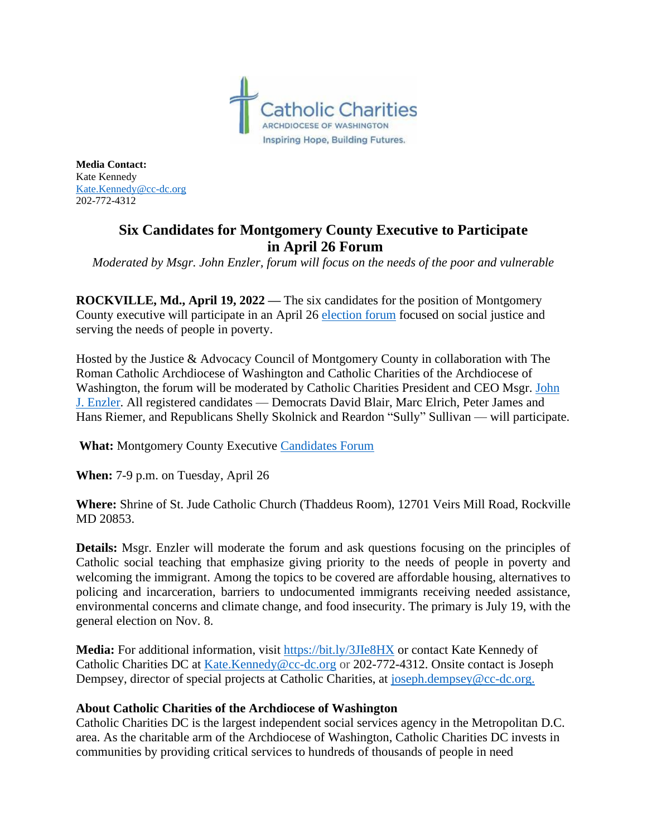

**Media Contact:** Kate Kennedy [Kate.Kennedy@cc-dc.org](mailto:Kate.Kennedy@cc-dc.org) 202-772-4312

## **Six Candidates for Montgomery County Executive to Participate in April 26 Forum**

*Moderated by Msgr. John Enzler, forum will focus on the needs of the poor and vulnerable*

**ROCKVILLE, Md., April 19, 2022 —** The six candidates for the position of Montgomery County executive will participate in an April 26 [election forum](https://mailchi.mp/dd22c857fb66/register-for-the-montgomery-county-candidates-forum) focused on social justice and serving the needs of people in poverty.

Hosted by the Justice & Advocacy Council of Montgomery County in collaboration with The Roman Catholic Archdiocese of Washington and Catholic Charities of the Archdiocese of Washington, the forum will be moderated by Catholic Charities President and CEO Msgr. [John](https://www.catholiccharitiesdc.org/aboutus/press-from-the-ceo/)  [J. Enzler.](https://www.catholiccharitiesdc.org/aboutus/press-from-the-ceo/) All registered candidates — Democrats David Blair, Marc Elrich, Peter James and Hans Riemer, and Republicans Shelly Skolnick and Reardon "Sully" Sullivan — will participate.

**What:** Montgomery County Executive [Candidates Forum](https://mailchi.mp/dd22c857fb66/register-for-the-montgomery-county-candidates-forum)

**When:** 7-9 p.m. on Tuesday, April 26

**Where:** Shrine of St. Jude Catholic Church (Thaddeus Room), 12701 Veirs Mill Road, Rockville MD 20853.

**Details:** Msgr. Enzler will moderate the forum and ask questions focusing on the principles of Catholic social teaching that emphasize giving priority to the needs of people in poverty and welcoming the immigrant. Among the topics to be covered are affordable housing, alternatives to policing and incarceration, barriers to undocumented immigrants receiving needed assistance, environmental concerns and climate change, and food insecurity. The primary is July 19, with the general election on Nov. 8.

**Media:** For additional information, visit<https://bit.ly/3JIe8HX> or contact Kate Kennedy of Catholic Charities DC at [Kate.Kennedy@cc-dc.org](mailto:Kate.Kennedy@cc-dc.org) or 202-772-4312. Onsite contact is Joseph Dempsey, director of special projects at Catholic Charities, at [joseph.dempsey@cc-dc.org.](mailto:joseph.dempsey@cc-dc.org)

## **About Catholic Charities of the Archdiocese of Washington**

Catholic Charities DC is the largest independent social services agency in the Metropolitan D.C. area. As the charitable arm of the Archdiocese of Washington, Catholic Charities DC invests in communities by providing critical services to hundreds of thousands of people in need